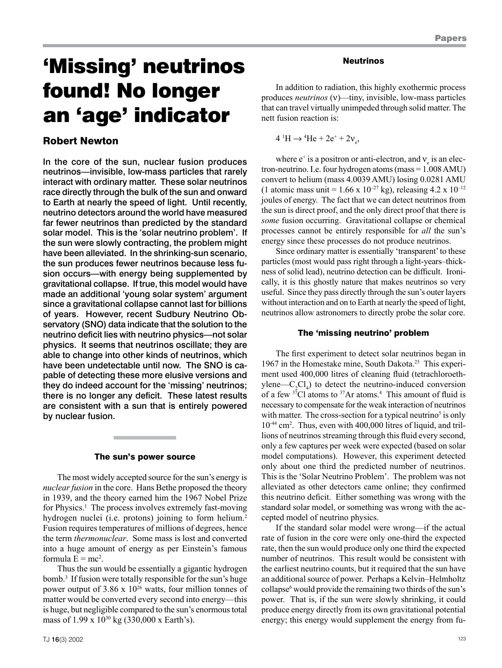# 'Missing' neutrinos found! No longer an 'age' indicator

## Robert Newton

In the core of the sun, nuclear fusion produces neutrinos—invisible, low-mass particles that rarely interact with ordinary matter. These solar neutrinos race directly through the bulk of the sun and onward to Earth at nearly the speed of light. Until recently, neutrino detectors around the world have measured far fewer neutrinos than predicted by the standard solar model. This is the 'solar neutrino problem'. If the sun were slowly contracting, the problem might have been alleviated. In the shrinking-sun scenario, the sun produces fewer neutrinos because less fusion occurs—with energy being supplemented by gravitational collapse. If true, this model would have made an additional 'young solar system' argument since a gravitational collapse cannot last for billions of years. However, recent Sudbury Neutrino Observatory (SNO) data indicate that the solution to the neutrino deficit lies with neutrino physics—not solar physics. It seems that neutrinos oscillate; they are able to change into other kinds of neutrinos, which have been undetectable until now. The SNO is capable of detecting these more elusive versions and they do indeed account for the 'missing' neutrinos; there is no longer any deficit. These latest results are consistent with a sun that is entirely powered by nuclear fusion.

### The sun's power source

The most widely accepted source for the sun's energy is *nuclear fusion* in the core. Hans Bethe proposed the theory in 1939, and the theory earned him the 1967 Nobel Prize for Physics.<sup>1</sup> The process involves extremely fast-moving hydrogen nuclei (i.e. protons) joining to form helium.<sup>2</sup> Fusion requires temperatures of millions of degrees, hence the term *thermonuclear*. Some mass is lost and converted into a huge amount of energy as per Einstein's famous formula  $E = mc^2$ .

Thus the sun would be essentially a gigantic hydrogen bomb.3 If fusion were totally responsible for the sun's huge power output of  $3.86 \times 10^{26}$  watts, four million tonnes of matter would be converted every second into energy—this is huge, but negligible compared to the sun's enormous total mass of 1.99 x 10<sup>30</sup> kg (330,000 x Earth's).

#### Neutrinos

In addition to radiation, this highly exothermic process produces *neutrinos* (ν)—tiny, invisible, low-mass particles that can travel virtually unimpeded through solid matter. The nett fusion reaction is:

 $4 \text{ }^{\text{1}}\text{H} \rightarrow ^{\text{4}}\text{He} + 2e^{\text{+}} + 2v_{e}$ 

where  $e^+$  is a positron or anti-electron, and  $v_e$  is an electron-neutrino. I.e. four hydrogen atoms (mass = 1.008 AMU) convert to helium (mass 4.0039 AMU) losing 0.0281 AMU (1 atomic mass unit = 1.66 x 10<sup>-27</sup> kg), releasing 4.2 x 10<sup>-12</sup> joules of energy. The fact that we can detect neutrinos from the sun is direct proof, and the only direct proof that there is *some* fusion occurring. Gravitational collapse or chemical processes cannot be entirely responsible for *all* the sun's energy since these processes do not produce neutrinos.

Since ordinary matter is essentially 'transparent' to these particles (most would pass right through a light-years–thickness of solid lead), neutrino detection can be difficult. Ironically, it is this ghostly nature that makes neutrinos so very useful. Since they pass directly through the sun's outer layers without interaction and on to Earth at nearly the speed of light, neutrinos allow astronomers to directly probe the solar core.

## The 'missing neutrino' problem

The first experiment to detect solar neutrinos began in 1967 in the Homestake mine, South Dakota.25 This experiment used 400,000 litres of cleaning fluid (tetrachloroethylene— $C_2Cl_4$ ) to detect the neutrino-induced conversion of a few  $37$ Cl atoms to  $37$ Ar atoms.<sup>4</sup> This amount of fluid is necessary to compensate for the weak interaction of neutrinos with matter. The cross-section for a typical neutrino<sup>5</sup> is only 10-44 cm2 . Thus, even with 400,000 litres of liquid, and trillions of neutrinos streaming through this fluid every second, only a few captures per week were expected (based on solar model computations). However, this experiment detected only about one third the predicted number of neutrinos. This is the 'Solar Neutrino Problem'. The problem was not alleviated as other detectors came online; they confirmed this neutrino deficit. Either something was wrong with the standard solar model, or something was wrong with the accepted model of neutrino physics.

If the standard solar model were wrong—if the actual rate of fusion in the core were only one-third the expected rate, then the sun would produce only one third the expected number of neutrinos. This result would be consistent with the earliest neutrino counts, but it required that the sun have an additional source of power. Perhaps a Kelvin–Helmholtz collapse<sup>6</sup> would provide the remaining two thirds of the sun's power. That is, if the sun were slowly shrinking, it could produce energy directly from its own gravitational potential energy; this energy would supplement the energy from fu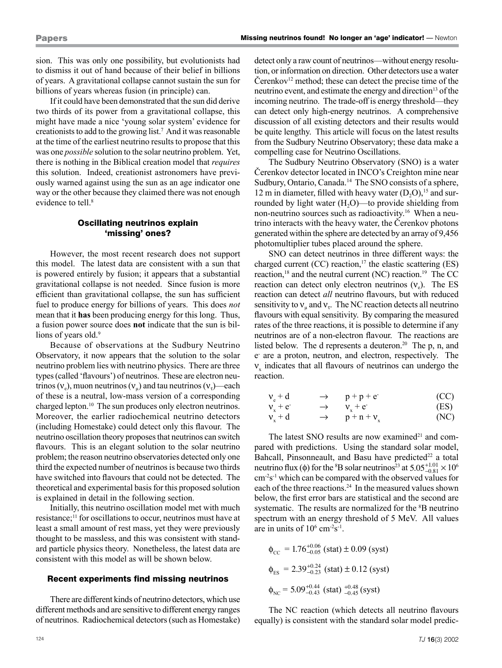sion. This was only one possibility, but evolutionists had to dismiss it out of hand because of their belief in billions of years. A gravitational collapse cannot sustain the sun for billions of years whereas fusion (in principle) can.

If it could have been demonstrated that the sun did derive two thirds of its power from a gravitational collapse, this might have made a nice 'young solar system' evidence for creationists to add to the growing list.7 And it was reasonable at the time of the earliest neutrino results to propose that this was one *possible* solution to the solar neutrino problem. Yet, there is nothing in the Biblical creation model that *requires* this solution. Indeed, creationist astronomers have previously warned against using the sun as an age indicator one way or the other because they claimed there was not enough evidence to tell.<sup>8</sup>

## Oscillating neutrinos explain 'missing' ones?

However, the most recent research does not support this model. The latest data are consistent with a sun that is powered entirely by fusion; it appears that a substantial gravitational collapse is not needed. Since fusion is more efficient than gravitational collapse, the sun has sufficient fuel to produce energy for billions of years. This does *not* mean that it **has** been producing energy for this long. Thus, a fusion power source does **not** indicate that the sun is billions of years old.<sup>9</sup>

Because of observations at the Sudbury Neutrino Observatory, it now appears that the solution to the solar neutrino problem lies with neutrino physics. There are three types (called 'flavours') of neutrinos. These are electron neutrinos (ν<sub>e</sub>), muon neutrinos (ν<sub>u</sub>) and tau neutrinos (ν<sub>τ</sub>)—each of these is a neutral, low-mass version of a corresponding charged lepton.<sup>10</sup> The sun produces only electron neutrinos. Moreover, the earlier radiochemical neutrino detectors (including Homestake) could detect only this flavour. The neutrino oscillation theory proposes that neutrinos can switch flavours. This is an elegant solution to the solar neutrino problem; the reason neutrino observatories detected only one third the expected number of neutrinos is because two thirds have switched into flavours that could not be detected. The theoretical and experimental basis for this proposed solution is explained in detail in the following section.

Initially, this neutrino oscillation model met with much resistance;<sup>11</sup> for oscillations to occur, neutrinos must have at least a small amount of rest mass, yet they were previously thought to be massless, and this was consistent with standard particle physics theory. Nonetheless, the latest data are consistent with this model as will be shown below.

#### Recent experiments find missing neutrinos

There are different kinds of neutrino detectors, which use different methods and are sensitive to different energy ranges of neutrinos. Radiochemical detectors (such as Homestake)

detect only a raw count of neutrinos—without energy resolution, or information on direction. Other detectors use a water Čerenkov $12$  method; these can detect the precise time of the neutrino event, and estimate the energy and direction<sup>13</sup> of the incoming neutrino. The trade-off is energy threshold—they can detect only high-energy neutrinos. A comprehensive discussion of all existing detectors and their results would be quite lengthy. This article will focus on the latest results from the Sudbury Neutrino Observatory; these data make a compelling case for Neutrino Oscillations.

The Sudbury Neutrino Observatory (SNO) is a water Čerenkov detector located in INCO's Creighton mine near Sudbury, Ontario, Canada.<sup>14</sup> The SNO consists of a sphere, 12 m in diameter, filled with heavy water  $(D, O)$ ,<sup>15</sup> and surrounded by light water  $(H_2O)$ —to provide shielding from non-neutrino sources such as radioactivity.<sup>16</sup> When a neutrino interacts with the heavy water, the Čerenkov photons generated within the sphere are detected by an array of 9,456 photomultiplier tubes placed around the sphere.

SNO can detect neutrinos in three different ways: the charged current  $(CC)$  reaction,<sup>17</sup> the elastic scattering  $(ES)$ reaction,<sup>18</sup> and the neutral current (NC) reaction.<sup>19</sup> The CC reaction can detect only electron neutrinos  $(v_0)$ . The ES reaction can detect *all* neutrino flavours, but with reduced sensitivity to  $v_{\mu}$  and  $v_{\tau}$ . The NC reaction detects all neutrino flavours with equal sensitivity. By comparing the measured rates of the three reactions, it is possible to determine if any neutrinos are of a non-electron flavour. The reactions are listed below. The d represents a deuteron.<sup>20</sup> The p, n, and e- are a proton, neutron, and electron, respectively. The  $v_x$  indicates that all flavours of neutrinos can undergo the reaction.

$$
vx + evx + evx + d  $\rightarrow$  p+p+ e  
v<sub>x</sub> + e  
p+n+v<sub>x</sub> (EC)  
(ES)
$$

The latest SNO results are now examined<sup>21</sup> and compared with predictions. Using the standard solar model, Bahcall, Pinsonneault, and Basu have predicted<sup>22</sup> a total neutrino flux (φ) for the <sup>8</sup>B solar neutrinos<sup>23</sup> at  $5.05^{+1.01}_{-0.81} \times 10^6$ cm-2s-1 which can be compared with the observed values for each of the three reactions.<sup>24</sup> In the measured values shown below, the first error bars are statistical and the second are systematic. The results are normalized for the <sup>8</sup>B neutrino spectrum with an energy threshold of 5 MeV. All values are in units of  $10^6$  cm<sup>-2</sup>s<sup>-1</sup>.

$$
\phi_{CC} = 1.76^{+0.06}_{-0.05} \text{ (stat)} \pm 0.09 \text{ (syst)}
$$
\n
$$
\phi_{ES} = 2.39^{+0.24}_{-0.23} \text{ (stat)} \pm 0.12 \text{ (syst)}
$$
\n
$$
\phi_{NC} = 5.09^{+0.44}_{-0.43} \text{ (stat)} \, ^{+0.48}_{-0.45} \text{ (syst)}
$$

The NC reaction (which detects all neutrino flavours equally) is consistent with the standard solar model predic